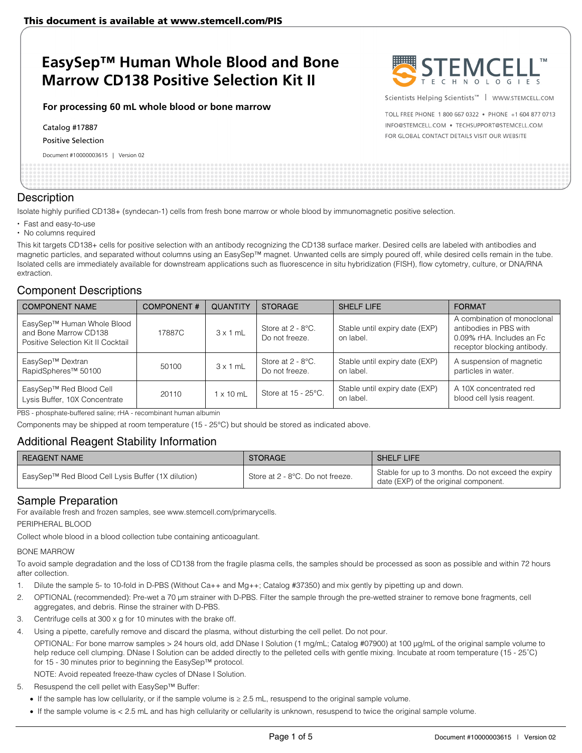# **EasySep™ Human Whole Blood and Bone Marrow CD138 Positive Selection Kit II**

#### **For processing 60 mL whole blood or bone marrow**

Catalog #17887

Positive Selection

Document #10000003615 | Version 02



Scientists Helping Scientists<sup>™</sup> | WWW.STEMCELL.COM

TOLL FREE PHONE 1 800 667 0322 . PHONE +1 604 877 0713 INFO@STEMCELL.COM . TECHSUPPORT@STEMCELL.COM FOR GLOBAL CONTACT DETAILS VISIT OUR WEBSITE

#### **Description**

Isolate highly purified CD138+ (syndecan-1) cells from fresh bone marrow or whole blood by immunomagnetic positive selection.

- Fast and easy-to-use
- No columns required

This kit targets CD138+ cells for positive selection with an antibody recognizing the CD138 surface marker. Desired cells are labeled with antibodies and magnetic particles, and separated without columns using an EasySep™ magnet. Unwanted cells are simply poured off, while desired cells remain in the tube. Isolated cells are immediately available for downstream applications such as fluorescence in situ hybridization (FISH), flow cytometry, culture, or DNA/RNA extraction.

## Component Descriptions

| <b>COMPONENT NAME</b>                                                                     | <b>COMPONENT#</b> | QUANTITY         | <b>STORAGE</b>                         | SHELF LIFE                                  | <b>FORMAT</b>                                                                                                      |
|-------------------------------------------------------------------------------------------|-------------------|------------------|----------------------------------------|---------------------------------------------|--------------------------------------------------------------------------------------------------------------------|
| EasySep™ Human Whole Blood<br>and Bone Marrow CD138<br>Positive Selection Kit II Cocktail | 17887C            | $3 \times 1$ mL  | Store at $2 - 8$ °C.<br>Do not freeze. | Stable until expiry date (EXP)<br>on label. | A combination of monoclonal<br>antibodies in PBS with<br>0.09% rHA. Includes an Fc.<br>receptor blocking antibody. |
| EasySep™ Dextran<br>RapidSpheres <sup>™</sup> 50100                                       | 50100             | $3 \times 1$ mL  | Store at 2 - 8°C.<br>Do not freeze.    | Stable until expiry date (EXP)<br>on label. | A suspension of magnetic<br>particles in water.                                                                    |
| EasySep™ Red Blood Cell<br>Lysis Buffer, 10X Concentrate                                  | 20110             | $1 \times 10$ mL | Store at 15 - 25°C.                    | Stable until expiry date (EXP)<br>on label. | A 10X concentrated red<br>blood cell lysis reagent.                                                                |

PBS - phosphate-buffered saline; rHA - recombinant human albumin

Components may be shipped at room temperature (15 - 25°C) but should be stored as indicated above.

## Additional Reagent Stability Information

| I REAGENT NAME                                     | <b>STORAGE</b>                   | <b>SHELF LIFE</b>                                                                            |
|----------------------------------------------------|----------------------------------|----------------------------------------------------------------------------------------------|
| EasySep™ Red Blood Cell Lysis Buffer (1X dilution) | Store at 2 - 8°C. Do not freeze. | Stable for up to 3 months. Do not exceed the expiry<br>date (EXP) of the original component. |

### Sample Preparation

For available fresh and frozen samples, see www.stemcell.com/primarycells.

PERIPHERAL BLOOD

Collect whole blood in a blood collection tube containing anticoagulant.

#### BONE MARROW

To avoid sample degradation and the loss of CD138 from the fragile plasma cells, the samples should be processed as soon as possible and within 72 hours after collection.

- 1. Dilute the sample 5- to 10-fold in D-PBS (Without Ca++ and Mg++; Catalog #37350) and mix gently by pipetting up and down.
- 2. OPTIONAL (recommended): Pre-wet a 70 μm strainer with D-PBS. Filter the sample through the pre-wetted strainer to remove bone fragments, cell aggregates, and debris. Rinse the strainer with D-PBS.
- 3. Centrifuge cells at 300 x g for 10 minutes with the brake off.
- 4. Using a pipette, carefully remove and discard the plasma, without disturbing the cell pellet. Do not pour.
	- OPTIONAL: For bone marrow samples > 24 hours old, add DNase I Solution (1 mg/mL; Catalog #07900) at 100 μg/mL of the original sample volume to help reduce cell clumping. DNase I Solution can be added directly to the pelleted cells with gentle mixing. Incubate at room temperature (15 - 25˚C) for 15 - 30 minutes prior to beginning the EasySep™ protocol.

NOTE: Avoid repeated freeze-thaw cycles of DNase I Solution.

5. Resuspend the cell pellet with EasySep™ Buffer:

If the sample has low cellularity, or if the sample volume is ≥ 2.5 mL, resuspend to the original sample volume.

If the sample volume is < 2.5 mL and has high cellularity or cellularity is unknown, resuspend to twice the original sample volume.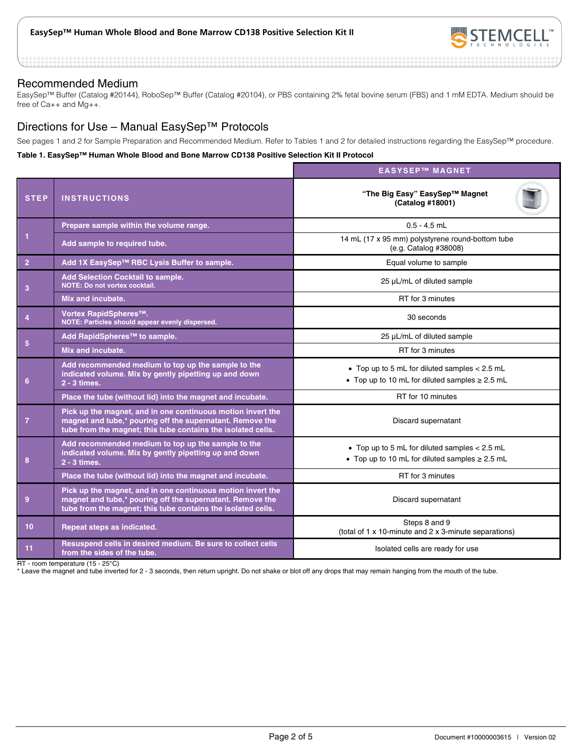

#### Recommended Medium

EasySep™ Buffer (Catalog #20144), RoboSep™ Buffer (Catalog #20104), or PBS containing 2% fetal bovine serum (FBS) and 1 mM EDTA. Medium should be free of Ca++ and Mg++.

## Directions for Use – Manual EasySep™ Protocols

See pages 1 and 2 for Sample Preparation and Recommended Medium. Refer to Tables 1 and 2 for detailed instructions regarding the EasySep™ procedure.

#### **Table 1. EasySep™ Human Whole Blood and Bone Marrow CD138 Positive Selection Kit II Protocol**

|                 |                                                                                                                                                                                          | <b>EASYSEP™ MAGNET</b>                                                                                 |  |  |
|-----------------|------------------------------------------------------------------------------------------------------------------------------------------------------------------------------------------|--------------------------------------------------------------------------------------------------------|--|--|
| <b>STEP</b>     | <b>INSTRUCTIONS</b>                                                                                                                                                                      | "The Big Easy" EasySep™ Magnet<br>(Catalog #18001)                                                     |  |  |
| 1               | Prepare sample within the volume range.                                                                                                                                                  | $0.5 - 4.5$ mL                                                                                         |  |  |
|                 | Add sample to required tube.                                                                                                                                                             | 14 mL (17 x 95 mm) polystyrene round-bottom tube<br>(e.g. Catalog #38008)                              |  |  |
| $\overline{2}$  | Add 1X EasySep™ RBC Lysis Buffer to sample.                                                                                                                                              | Equal volume to sample                                                                                 |  |  |
| 3               | Add Selection Cocktail to sample.<br><b>NOTE: Do not vortex cocktail.</b>                                                                                                                | 25 µL/mL of diluted sample                                                                             |  |  |
|                 | Mix and incubate.                                                                                                                                                                        | RT for 3 minutes                                                                                       |  |  |
| $\overline{4}$  | Vortex RapidSpheres™.<br>NOTE: Particles should appear evenly dispersed.                                                                                                                 | 30 seconds                                                                                             |  |  |
|                 | Add RapidSpheres™ to sample.                                                                                                                                                             | 25 µL/mL of diluted sample                                                                             |  |  |
| 5               | Mix and incubate.                                                                                                                                                                        | RT for 3 minutes                                                                                       |  |  |
| 6               | Add recommended medium to top up the sample to the<br>indicated volume. Mix by gently pipetting up and down<br>2 - 3 times.                                                              | • Top up to 5 mL for diluted samples $< 2.5$ mL<br>• Top up to 10 mL for diluted samples $\geq$ 2.5 mL |  |  |
|                 | Place the tube (without lid) into the magnet and incubate.                                                                                                                               | RT for 10 minutes                                                                                      |  |  |
| $\overline{7}$  | Pick up the magnet, and in one continuous motion invert the<br>magnet and tube,* pouring off the supernatant. Remove the<br>tube from the magnet; this tube contains the isolated cells. | Discard supernatant                                                                                    |  |  |
| 8               | Add recommended medium to top up the sample to the<br>indicated volume. Mix by gently pipetting up and down<br>2 - 3 times.                                                              | • Top up to 5 mL for diluted samples < 2.5 mL<br>• Top up to 10 mL for diluted samples $\geq 2.5$ mL   |  |  |
|                 | Place the tube (without lid) into the magnet and incubate.                                                                                                                               | RT for 3 minutes                                                                                       |  |  |
| 9               | Pick up the magnet, and in one continuous motion invert the<br>magnet and tube,* pouring off the supernatant. Remove the<br>tube from the magnet; this tube contains the isolated cells. | Discard supernatant                                                                                    |  |  |
| 10 <sup>1</sup> | Repeat steps as indicated.                                                                                                                                                               | Steps 8 and 9<br>(total of 1 x 10-minute and 2 x 3-minute separations)                                 |  |  |
| 11              | Resuspend cells in desired medium. Be sure to collect cells<br>from the sides of the tube.                                                                                               | Isolated cells are ready for use                                                                       |  |  |

RT - room temperature (15 - 25°C)

\* Leave the magnet and tube inverted for 2 - 3 seconds, then return upright. Do not shake or blot off any drops that may remain hanging from the mouth of the tube.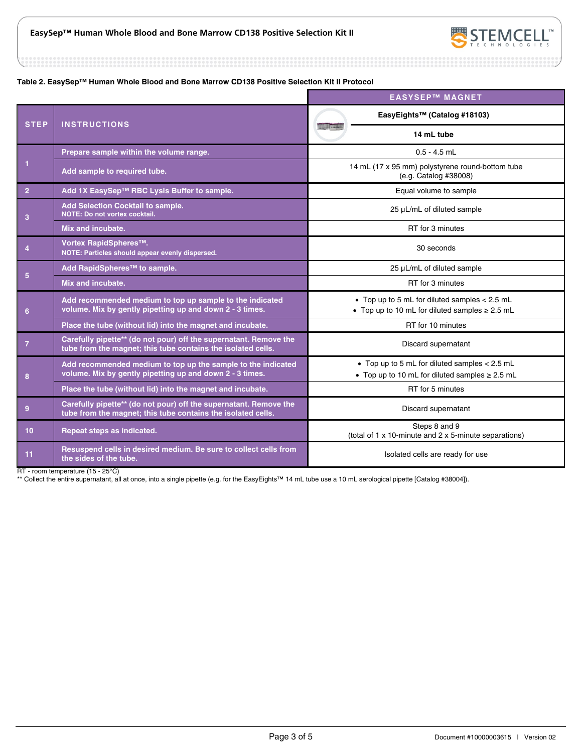

.............

#### **Table 2. EasySep™ Human Whole Blood and Bone Marrow CD138 Positive Selection Kit II Protocol**

|                 |                                                                                                                                   | <b>EASYSEP™ MAGNET</b>                                                                                 |  |
|-----------------|-----------------------------------------------------------------------------------------------------------------------------------|--------------------------------------------------------------------------------------------------------|--|
| <b>STEP</b>     | <b>INSTRUCTIONS</b>                                                                                                               | EasyEights™ (Catalog #18103)                                                                           |  |
|                 |                                                                                                                                   | 14 mL tube                                                                                             |  |
|                 | Prepare sample within the volume range.                                                                                           | $0.5 - 4.5$ mL                                                                                         |  |
| $\mathbf{1}$    | Add sample to required tube.                                                                                                      | 14 mL (17 x 95 mm) polystyrene round-bottom tube<br>(e.g. Catalog #38008)                              |  |
| $\overline{2}$  | Add 1X EasySep™ RBC Lysis Buffer to sample.                                                                                       | Equal volume to sample                                                                                 |  |
| 3               | <b>Add Selection Cocktail to sample.</b><br>NOTE: Do not vortex cocktail.                                                         | 25 µL/mL of diluted sample                                                                             |  |
|                 | Mix and incubate.                                                                                                                 | RT for 3 minutes                                                                                       |  |
| $\overline{4}$  | Vortex RapidSpheres™.<br>NOTE: Particles should appear evenly dispersed.                                                          | 30 seconds                                                                                             |  |
|                 | Add RapidSpheres <sup>™</sup> to sample.                                                                                          | 25 µL/mL of diluted sample                                                                             |  |
| $5\phantom{.0}$ | Mix and incubate.                                                                                                                 | RT for 3 minutes                                                                                       |  |
| 6               | Add recommended medium to top up sample to the indicated<br>volume. Mix by gently pipetting up and down 2 - 3 times.              | • Top up to 5 mL for diluted samples < 2.5 mL<br>• Top up to 10 mL for diluted samples $\geq$ 2.5 mL   |  |
|                 | Place the tube (without lid) into the magnet and incubate.                                                                        | RT for 10 minutes                                                                                      |  |
| $\overline{7}$  | Carefully pipette** (do not pour) off the supernatant. Remove the<br>tube from the magnet; this tube contains the isolated cells. | Discard supernatant                                                                                    |  |
| 8               | Add recommended medium to top up the sample to the indicated<br>volume. Mix by gently pipetting up and down 2 - 3 times.          | • Top up to 5 mL for diluted samples $< 2.5$ mL<br>• Top up to 10 mL for diluted samples $\geq 2.5$ mL |  |
|                 | Place the tube (without lid) into the magnet and incubate.                                                                        | RT for 5 minutes                                                                                       |  |
| 9               | Carefully pipette** (do not pour) off the supernatant. Remove the<br>tube from the magnet; this tube contains the isolated cells. | Discard supernatant                                                                                    |  |
| 10              | Repeat steps as indicated.                                                                                                        | Steps 8 and 9<br>(total of 1 x 10-minute and 2 x 5-minute separations)                                 |  |
| 11              | Resuspend cells in desired medium. Be sure to collect cells from<br>the sides of the tube.                                        | Isolated cells are ready for use                                                                       |  |

RT - room temperature (15 - 25°C)

\*\* Collect the entire supernatant, all at once, into a single pipette (e.g. for the EasyEights™ 14 mL tube use a 10 mL serological pipette [Catalog #38004]).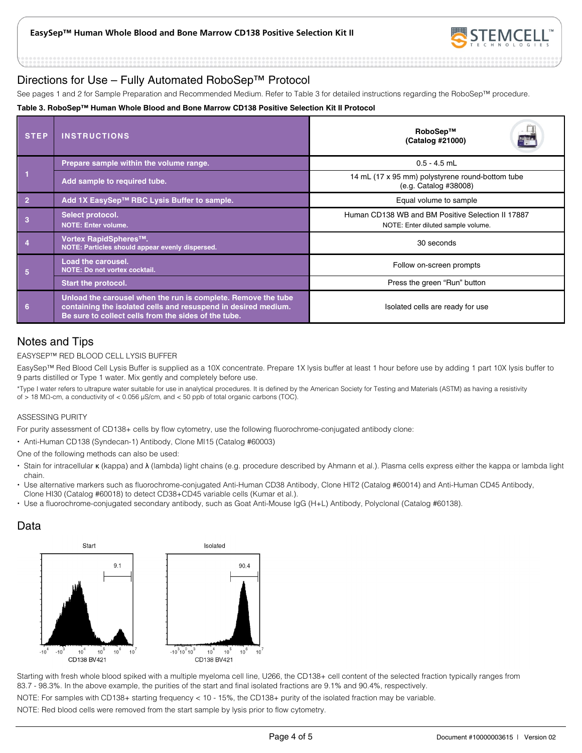

## Directions for Use – Fully Automated RoboSep™ Protocol

See pages 1 and 2 for Sample Preparation and Recommended Medium. Refer to Table 3 for detailed instructions regarding the RoboSep™ procedure.

#### **Table 3. RoboSep™ Human Whole Blood and Bone Marrow CD138 Positive Selection Kit II Protocol**

| <b>STEP</b>    | <b>INSTRUCTIONS</b>                                                                                                                                                                     | RoboSep™<br>E.<br>(Catalog #21000)                                                      |  |
|----------------|-----------------------------------------------------------------------------------------------------------------------------------------------------------------------------------------|-----------------------------------------------------------------------------------------|--|
|                | Prepare sample within the volume range.                                                                                                                                                 | $0.5 - 4.5$ mL                                                                          |  |
|                | Add sample to required tube.                                                                                                                                                            | 14 mL (17 x 95 mm) polystyrene round-bottom tube<br>(e.g. Catalog #38008)               |  |
| $\overline{2}$ | Add 1X EasySep™ RBC Lysis Buffer to sample.                                                                                                                                             | Equal volume to sample                                                                  |  |
|                | Select protocol.<br><b>NOTE: Enter volume.</b>                                                                                                                                          | Human CD138 WB and BM Positive Selection II 17887<br>NOTE: Enter diluted sample volume. |  |
|                | Vortex RapidSpheres™.<br>NOTE: Particles should appear evenly dispersed.                                                                                                                | 30 seconds                                                                              |  |
| 5              | <b>Load the carousel.</b><br>NOTE: Do not vortex cocktail.                                                                                                                              | Follow on-screen prompts                                                                |  |
|                | <b>Start the protocol.</b>                                                                                                                                                              | Press the green "Run" button                                                            |  |
| 6              | Unload the carousel when the run is complete. Remove the tube<br>containing the isolated cells and resuspend in desired medium.<br>Be sure to collect cells from the sides of the tube. | Isolated cells are ready for use                                                        |  |

## Notes and Tips

#### EASYSEP™ RED BLOOD CELL LYSIS BUFFER

EasySep™ Red Blood Cell Lysis Buffer is supplied as a 10X concentrate. Prepare 1X lysis buffer at least 1 hour before use by adding 1 part 10X lysis buffer to 9 parts distilled or Type 1 water. Mix gently and completely before use.

\*Type I water refers to ultrapure water suitable for use in analytical procedures. It is defined by the American Society for Testing and Materials (ASTM) as having a resistivity of > 18 MΩ-cm, a conductivity of < 0.056 μS/cm, and < 50 ppb of total organic carbons (TOC).

#### ASSESSING PURITY

For purity assessment of CD138+ cells by flow cytometry, use the following fluorochrome-conjugated antibody clone:

Anti-Human CD138 (Syndecan-1) Antibody, Clone MI15 (Catalog #60003)

One of the following methods can also be used:

- Stain for intracellular κ (kappa) and λ (lambda) light chains (e.g. procedure described by Ahmann et al.). Plasma cells express either the kappa or lambda light chain.
- · Use alternative markers such as fluorochrome-conjugated Anti-Human CD38 Antibody, Clone HIT2 (Catalog #60014) and Anti-Human CD45 Antibody, Clone HI30 (Catalog #60018) to detect CD38+CD45 variable cells (Kumar et al.).
- Use a fluorochrome-conjugated secondary antibody, such as Goat Anti-Mouse IgG (H+L) Antibody, Polyclonal (Catalog #60138).

## Data



Starting with fresh whole blood spiked with a multiple myeloma cell line, U266, the CD138+ cell content of the selected fraction typically ranges from 83.7 - 98.3%. In the above example, the purities of the start and final isolated fractions are 9.1% and 90.4%, respectively.

NOTE: For samples with CD138+ starting frequency < 10 - 15%, the CD138+ purity of the isolated fraction may be variable.

NOTE: Red blood cells were removed from the start sample by lysis prior to flow cytometry.